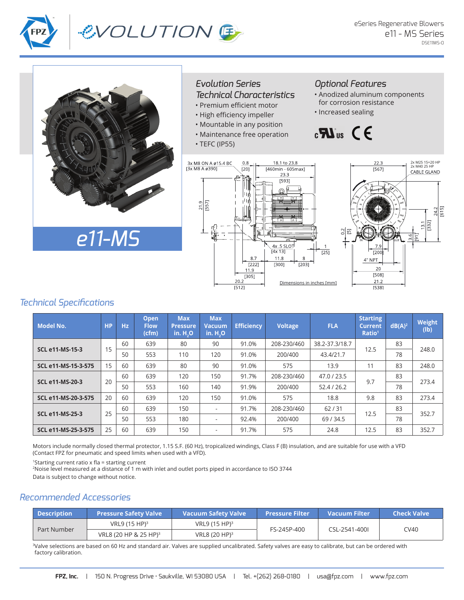





#### *Evolution Series Technical Characteristics*

- Premium efficient motor
- High efficiency impeller
- Mountable in any position
- Maintenance free operation
- TEFC (IP55)

### *Optional Features*

- Anodized aluminum components for corrosion resistance
- Increased sealing

# $\mathbf{B}$   $\mathbf{C}$   $\mathbf{C}$





### *Technical Specifications*

| <b>Model No.</b>       | <b>HP</b> | Hz | <b>Open</b><br><b>Flow</b><br>(cfm) | <b>Max</b><br><b>Pressure</b><br>$in.H_0$ | <b>Max</b><br>Vacuum<br>$in.H_0$ | <b>Efficiency</b> | <b>Voltage</b> | <b>FLA</b>     | <b>Starting</b><br><b>Current</b><br>Ratio <sup>1</sup> | $dB(A)^2$ | Weight<br>$(\mathsf{lb})$ |
|------------------------|-----------|----|-------------------------------------|-------------------------------------------|----------------------------------|-------------------|----------------|----------------|---------------------------------------------------------|-----------|---------------------------|
| <b>SCL e11-MS-15-3</b> | 15        | 60 | 639                                 | 80                                        | 90                               | 91.0%             | 208-230/460    | 38.2-37.3/18.7 | 12.5                                                    | 83        | 248.0                     |
|                        |           | 50 | 553                                 | 110                                       | 120                              | 91.0%             | 200/400        | 43.4/21.7      |                                                         | 78        |                           |
| SCL e11-MS-15-3-575    | 15        | 60 | 639                                 | 80                                        | 90                               | 91.0%             | 575            | 13.9           | 11                                                      | 83        | 248.0                     |
| <b>SCL e11-MS-20-3</b> | 20        | 60 | 639                                 | 120                                       | 150                              | 91.7%             | 208-230/460    | 47.0 / 23.5    | 9.7                                                     | 83        | 273.4                     |
|                        |           | 50 | 553                                 | 160                                       | 140                              | 91.9%             | 200/400        | 52.4/26.2      |                                                         | 78        |                           |
| SCL e11-MS-20-3-575    | 20        | 60 | 639                                 | 120                                       | 150                              | 91.0%             | 575            | 18.8           | 9.8                                                     | 83        | 273.4                     |
| <b>SCL e11-MS-25-3</b> | 25        | 60 | 639                                 | 150                                       | ٠                                | 91.7%             | 208-230/460    | 62/31          | 12.5                                                    | 83        | 352.7                     |
|                        |           | 50 | 553                                 | 180                                       | ٠                                | 92.4%             | 200/400        | 69/34.5        |                                                         | 78        |                           |
| SCL e11-MS-25-3-575    | 25        | 60 | 639                                 | 150                                       | ٠                                | 91.7%             | 575            | 24.8           | 12.5                                                    | 83        | 352.7                     |

Motors include normally closed thermal protector, 1.15 S.F. (60 Hz), tropicalized windings, Class F (B) insulation, and are suitable for use with a VFD (Contact FPZ for pneumatic and speed limits when used with a VFD).

<sup>1</sup>Starting current ratio x fla = starting current

<sup>2</sup>Noise level measured at a distance of 1 m with inlet and outlet ports piped in accordance to ISO 3744

Data is subject to change without notice.

## *Recommended Accessories*

| <b>Description</b> | <b>Pressure Safety Valve</b>      | <b>Vacuum Safety Valve</b> | <b>Pressure Filter</b> | Vacuum Filter | Check Valve \ |  |
|--------------------|-----------------------------------|----------------------------|------------------------|---------------|---------------|--|
| Part Number        | VRL9 (15 HP) <sup>3</sup>         | VRL9 (15 HP) <sup>3</sup>  |                        |               | CV40          |  |
|                    | VRL8 (20 HP & 25 HP) <sup>3</sup> | VRL8 (20 HP) <sup>3</sup>  | FS-245P-400            | CSL-2541-400L |               |  |

<sup>3</sup>Valve selections are based on 60 Hz and standard air. Valves are supplied uncalibrated. Safety valves are easy to calibrate, but can be ordered with factory calibration.